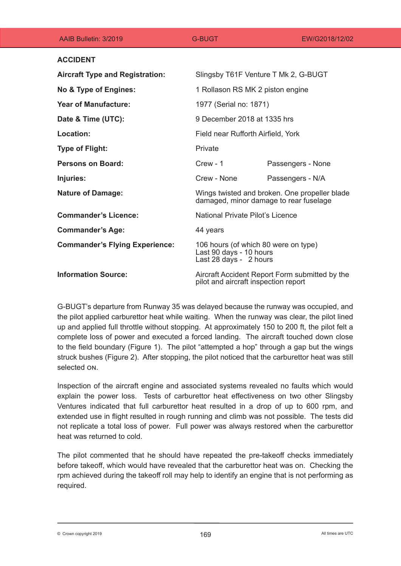| AAIB Bulletin: 3/2019                  | G-BUGT                                                                                    | EW/G2018/12/02    |
|----------------------------------------|-------------------------------------------------------------------------------------------|-------------------|
| <b>ACCIDENT</b>                        |                                                                                           |                   |
| <b>Aircraft Type and Registration:</b> | Slingsby T61F Venture T Mk 2, G-BUGT                                                      |                   |
| No & Type of Engines:                  | 1 Rollason RS MK 2 piston engine                                                          |                   |
| <b>Year of Manufacture:</b>            | 1977 (Serial no: 1871)                                                                    |                   |
| Date & Time (UTC):                     | 9 December 2018 at 1335 hrs                                                               |                   |
| Location:                              | Field near Rufforth Airfield, York                                                        |                   |
| <b>Type of Flight:</b>                 | Private                                                                                   |                   |
| <b>Persons on Board:</b>               | $C$ rew - 1                                                                               | Passengers - None |
| Injuries:                              | Crew - None                                                                               | Passengers - N/A  |
| <b>Nature of Damage:</b>               | Wings twisted and broken. One propeller blade<br>damaged, minor damage to rear fuselage   |                   |
| <b>Commander's Licence:</b>            | National Private Pilot's Licence                                                          |                   |
| <b>Commander's Age:</b>                | 44 years                                                                                  |                   |
| <b>Commander's Flying Experience:</b>  | 106 hours (of which 80 were on type)<br>Last 90 days - 10 hours<br>Last 28 days - 2 hours |                   |
| <b>Information Source:</b>             | Aircraft Accident Report Form submitted by the<br>pilot and aircraft inspection report    |                   |

G-BUGT's departure from Runway 35 was delayed because the runway was occupied, and the pilot applied carburettor heat while waiting. When the runway was clear, the pilot lined up and applied full throttle without stopping. At approximately 150 to 200 ft, the pilot felt a complete loss of power and executed a forced landing. The aircraft touched down close to the field boundary (Figure 1). The pilot "attempted a hop" through a gap but the wings struck bushes (Figure 2). After stopping, the pilot noticed that the carburettor heat was still selected on.

Inspection of the aircraft engine and associated systems revealed no faults which would explain the power loss. Tests of carburettor heat effectiveness on two other Slingsby Ventures indicated that full carburettor heat resulted in a drop of up to 600 rpm, and extended use in flight resulted in rough running and climb was not possible. The tests did not replicate a total loss of power. Full power was always restored when the carburettor heat was returned to cold.

The pilot commented that he should have repeated the pre-takeoff checks immediately before takeoff, which would have revealed that the carburettor heat was on. Checking the rpm achieved during the takeoff roll may help to identify an engine that is not performing as required.

 $\bullet$  Crown copyright 2019  $\bullet$  169